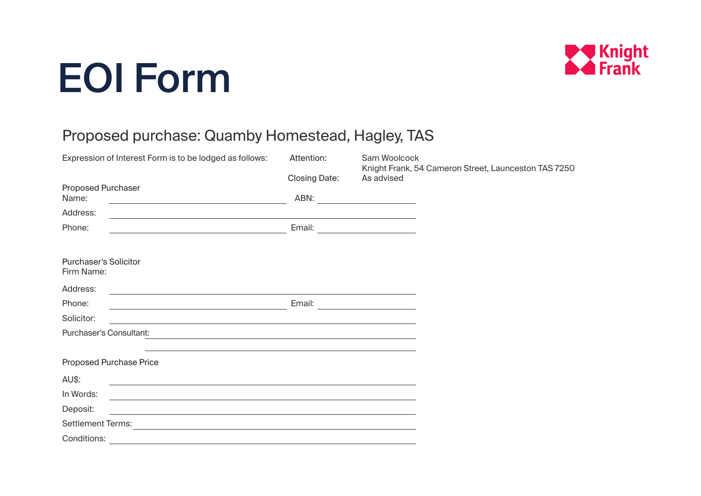## EOI Form



## Proposed purchase: Quamby Homestead, Hagley, TAS

| Expression of Interest Form is to be lodged as follows:                                                                                                 | Attention:           | Sam Woolcock<br>Knight Frank, 54 Cameron Street, Launceston TAS 7250 |
|---------------------------------------------------------------------------------------------------------------------------------------------------------|----------------------|----------------------------------------------------------------------|
|                                                                                                                                                         | <b>Closing Date:</b> | As advised                                                           |
| <b>Proposed Purchaser</b>                                                                                                                               |                      |                                                                      |
| Name:<br><u> 1980 - Johann Barbara, martxa alemaniar arg</u>                                                                                            | ABN:                 |                                                                      |
| Address:<br><u> 1989 - Johann Stoff, Amerikaansk politiker (* 1908)</u>                                                                                 |                      |                                                                      |
| Phone:                                                                                                                                                  |                      |                                                                      |
|                                                                                                                                                         |                      |                                                                      |
| <b>Purchaser's Solicitor</b><br>Firm Name:                                                                                                              |                      |                                                                      |
| Address:                                                                                                                                                |                      |                                                                      |
| Phone:<br><u> Alexandria de la contrada de la contrada de la contrada de la contrada de la contrada de la contrada de la c</u>                          | Email:               | the control of the control of the control of                         |
| Solicitor:<br>and the control of the control of the control of the control of the control of the control of the control of the                          |                      |                                                                      |
| <b>Purchaser's Consultant:</b><br><u> 1989 - Johann Stein, marwolaethau a bhann an t-Amhain ann an t-Amhain an t-Amhain an t-Amhain an t-Amhain an </u> |                      |                                                                      |
|                                                                                                                                                         |                      |                                                                      |
| Proposed Purchase Price                                                                                                                                 |                      |                                                                      |
| AU\$:<br>and the control of the control of the control of the control of the control of the control of the control of the                               |                      |                                                                      |
| In Words:<br><u> 1989 - Johann Stoff, amerikansk politiker (d. 1989)</u>                                                                                |                      |                                                                      |
| Deposit:<br><u> 1989 - Johann Stein, september 1989 - Amerikaansk politiker († 1908)</u>                                                                |                      |                                                                      |
| <b>Settlement Terms:</b><br><u> 1980 - Johann Stein, marwolaethau a bhann an t-Amhain an t-Amhain an t-Amhain an t-Amhain an t-Amhain an t-A</u>        |                      |                                                                      |
| Conditions:<br>and the control of the control of the control of the control of the control of the control of the control of the                         |                      |                                                                      |